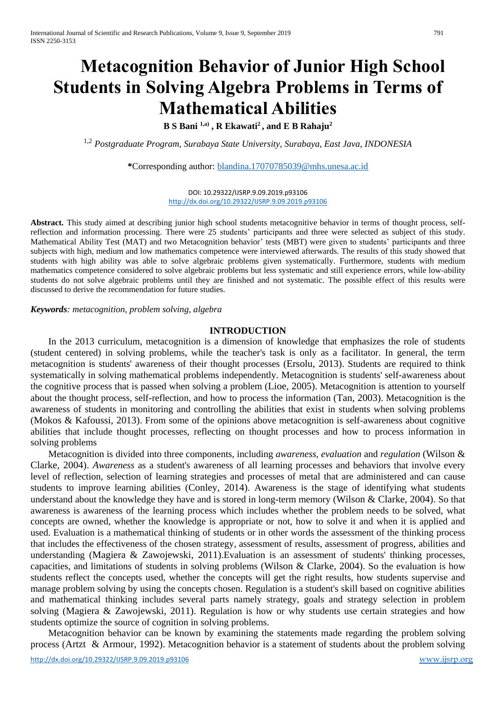# **Metacognition Behavior of Junior High School Students in Solving Algebra Problems in Terms of Mathematical Abilities**

**B S Bani 1,a) , R Ekawati<sup>2</sup>, and E B Rahaju<sup>2</sup>**

1,2 *Postgraduate Program, Surabaya State University, Surabaya, East Java, INDONESIA*

**\***Corresponding author: [blandina.17070785039@mhs.unesa.ac.id](mailto:blandina.17070785039@mhs.unesa.ac.id)

DOI: 10.29322/IJSRP.9.09.2019.p93106 <http://dx.doi.org/10.29322/IJSRP.9.09.2019.p93106>

**Abstract.** This study aimed at describing junior high school students metacognitive behavior in terms of thought process, selfreflection and information processing. There were 25 students' participants and three were selected as subject of this study. Mathematical Ability Test (MAT) and two Metacognition behavior' tests (MBT) were given to students' participants and three subjects with high, medium and low mathematics competence were interviewed afterwards. The results of this study showed that students with high ability was able to solve algebraic problems given systematically. Furthermore, students with medium mathematics competence considered to solve algebraic problems but less systematic and still experience errors, while low-ability students do not solve algebraic problems until they are finished and not systematic. The possible effect of this results were discussed to derive the recommendation for future studies.

*Keywords: metacognition, problem solving, algebra*

#### **INTRODUCTION**

In the 2013 curriculum, metacognition is a dimension of knowledge that emphasizes the role of students (student centered) in solving problems, while the teacher's task is only as a facilitator. In general, the term metacognition is students' awareness of their thought processes (Ersolu, 2013). Students are required to think systematically in solving mathematical problems independently. Metacognition is students' self-awareness about the cognitive process that is passed when solving a problem (Lioe, 2005). Metacognition is attention to yourself about the thought process, self-reflection, and how to process the information (Tan, 2003). Metacognition is the awareness of students in monitoring and controlling the abilities that exist in students when solving problems (Mokos & Kafoussi, 2013). From some of the opinions above metacognition is self-awareness about cognitive abilities that include thought processes, reflecting on thought processes and how to process information in solving problems

Metacognition is divided into three components, including *awareness, evaluation* and *regulation* (Wilson & Clarke, 2004). *Awareness* as a student's awareness of all learning processes and behaviors that involve every level of reflection, selection of learning strategies and processes of metal that are administered and can cause students to improve learning abilities (Conley, 2014). Awareness is the stage of identifying what students understand about the knowledge they have and is stored in long-term memory (Wilson & Clarke, 2004). So that awareness is awareness of the learning process which includes whether the problem needs to be solved, what concepts are owned, whether the knowledge is appropriate or not, how to solve it and when it is applied and used. Evaluation is a mathematical thinking of students or in other words the assessment of the thinking process that includes the effectiveness of the chosen strategy, assessment of results, assessment of progress, abilities and understanding (Magiera & Zawojewski, 2011).Evaluation is an assessment of students' thinking processes, capacities, and limitations of students in solving problems (Wilson & Clarke, 2004). So the evaluation is how students reflect the concepts used, whether the concepts will get the right results, how students supervise and manage problem solving by using the concepts chosen. Regulation is a student's skill based on cognitive abilities and mathematical thinking includes several parts namely strategy, goals and strategy selection in problem solving (Magiera & Zawojewski, 2011). Regulation is how or why students use certain strategies and how students optimize the source of cognition in solving problems.

Metacognition behavior can be known by examining the statements made regarding the problem solving process (Artzt & Armour, 1992). Metacognition behavior is a statement of students about the problem solving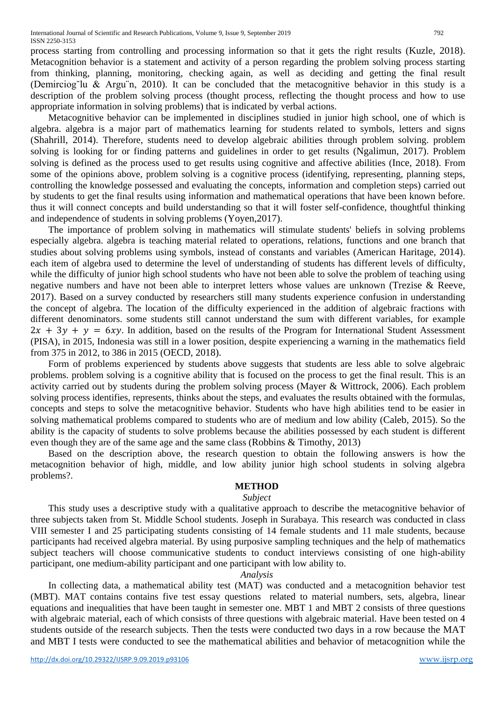process starting from controlling and processing information so that it gets the right results (Kuzle, 2018). Metacognition behavior is a statement and activity of a person regarding the problem solving process starting from thinking, planning, monitoring, checking again, as well as deciding and getting the final result (Demirciog˘lu & Argu¨n, 2010). It can be concluded that the metacognitive behavior in this study is a description of the problem solving process (thought process, reflecting the thought process and how to use appropriate information in solving problems) that is indicated by verbal actions.

Metacognitive behavior can be implemented in disciplines studied in junior high school, one of which is algebra. algebra is a major part of mathematics learning for students related to symbols, letters and signs (Shahrill, 2014). Therefore, students need to develop algebraic abilities through problem solving. problem solving is looking for or finding patterns and guidelines in order to get results (Ngalimun, 2017). Problem solving is defined as the process used to get results using cognitive and affective abilities (Ince, 2018). From some of the opinions above, problem solving is a cognitive process (identifying, representing, planning steps, controlling the knowledge possessed and evaluating the concepts, information and completion steps) carried out by students to get the final results using information and mathematical operations that have been known before. thus it will connect concepts and build understanding so that it will foster self-confidence, thoughtful thinking and independence of students in solving problems (Yoyen,2017).

The importance of problem solving in mathematics will stimulate students' beliefs in solving problems especially algebra. algebra is teaching material related to operations, relations, functions and one branch that studies about solving problems using symbols, instead of constants and variables (American Haritage, 2014). each item of algebra used to determine the level of understanding of students has different levels of difficulty, while the difficulty of junior high school students who have not been able to solve the problem of teaching using negative numbers and have not been able to interpret letters whose values are unknown (Trezise & Reeve, 2017). Based on a survey conducted by researchers still many students experience confusion in understanding the concept of algebra. The location of the difficulty experienced in the addition of algebraic fractions with different denominators. some students still cannot understand the sum with different variables, for example  $2x + 3y + y = 6xy$ . In addition, based on the results of the Program for International Student Assessment (PISA), in 2015, Indonesia was still in a lower position, despite experiencing a warning in the mathematics field from 375 in 2012, to 386 in 2015 (OECD, 2018).

Form of problems experienced by students above suggests that students are less able to solve algebraic problems. problem solving is a cognitive ability that is focused on the process to get the final result. This is an activity carried out by students during the problem solving process (Mayer & Wittrock, 2006). Each problem solving process identifies, represents, thinks about the steps, and evaluates the results obtained with the formulas, concepts and steps to solve the metacognitive behavior. Students who have high abilities tend to be easier in solving mathematical problems compared to students who are of medium and low ability (Caleb, 2015). So the ability is the capacity of students to solve problems because the abilities possessed by each student is different even though they are of the same age and the same class (Robbins & Timothy, 2013)

Based on the description above, the research question to obtain the following answers is how the metacognition behavior of high, middle, and low ability junior high school students in solving algebra problems?.

# **METHOD**

## *Subject*

This study uses a descriptive study with a qualitative approach to describe the metacognitive behavior of three subjects taken from St. Middle School students. Joseph in Surabaya. This research was conducted in class VIII semester I and 25 participating students consisting of 14 female students and 11 male students, because participants had received algebra material. By using purposive sampling techniques and the help of mathematics subject teachers will choose communicative students to conduct interviews consisting of one high-ability participant, one medium-ability participant and one participant with low ability to.

## *Analysis*

In collecting data, a mathematical ability test (MAT) was conducted and a metacognition behavior test (MBT). MAT contains contains five test essay questions related to material numbers, sets, algebra, linear equations and inequalities that have been taught in semester one. MBT 1 and MBT 2 consists of three questions with algebraic material, each of which consists of three questions with algebraic material. Have been tested on 4 students outside of the research subjects. Then the tests were conducted two days in a row because the MAT and MBT I tests were conducted to see the mathematical abilities and behavior of metacognition while the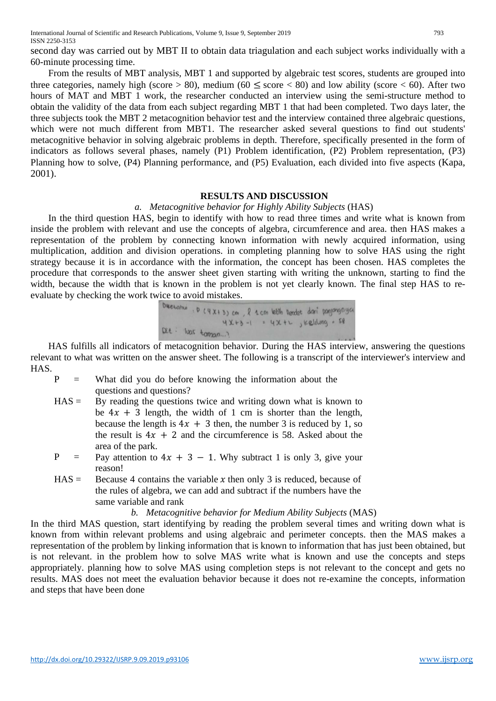second day was carried out by MBT II to obtain data triagulation and each subject works individually with a 60-minute processing time.

From the results of MBT analysis, MBT 1 and supported by algebraic test scores, students are grouped into three categories, namely high (score > 80), medium (60  $\leq$  score < 80) and low ability (score < 60). After two hours of MAT and MBT 1 work, the researcher conducted an interview using the semi-structure method to obtain the validity of the data from each subject regarding MBT 1 that had been completed. Two days later, the three subjects took the MBT 2 metacognition behavior test and the interview contained three algebraic questions, which were not much different from MBT1. The researcher asked several questions to find out students' metacognitive behavior in solving algebraic problems in depth. Therefore, specifically presented in the form of indicators as follows several phases, namely (P1) Problem identification, (P2) Problem representation, (P3) Planning how to solve, (P4) Planning performance, and (P5) Evaluation, each divided into five aspects (Kapa, 2001).

## **RESULTS AND DISCUSSION**

#### *a. Metacognitive behavior for Highly Ability Subjects* (HAS)

In the third question HAS, begin to identify with how to read three times and write what is known from inside the problem with relevant and use the concepts of algebra, circumference and area. then HAS makes a representation of the problem by connecting known information with newly acquired information, using multiplication, addition and division operations. in completing planning how to solve HAS using the right strategy because it is in accordance with the information, the concept has been chosen. HAS completes the procedure that corresponds to the answer sheet given starting with writing the unknown, starting to find the width, because the width that is known in the problem is not yet clearly known. The final step HAS to reevaluate by checking the work twice to avoid mistakes.

Question: 
$$
P(4X+3)
$$
 cm,  $R$  from both back of the language

\nQX+3 -1 =  $4X+2$  , including = 58

\nQY+1

HAS fulfills all indicators of metacognition behavior. During the HAS interview, answering the questions relevant to what was written on the answer sheet. The following is a transcript of the interviewer's interview and HAS.

- $P =$  What did you do before knowing the information about the questions and questions?
- $HAS =$  By reading the questions twice and writing down what is known to be  $4x + 3$  length, the width of 1 cm is shorter than the length, because the length is  $4x + 3$  then, the number 3 is reduced by 1, so the result is  $4x + 2$  and the circumference is 58. Asked about the area of the park.
- P = Pay attention to  $4x + 3 1$ . Why subtract 1 is only 3, give your reason!
- $HAS =$  Because 4 contains the variable *x* then only 3 is reduced, because of the rules of algebra, we can add and subtract if the numbers have the same variable and rank

#### *b. Metacognitive behavior for Medium Ability Subjects* (MAS)

In the third MAS question, start identifying by reading the problem several times and writing down what is known from within relevant problems and using algebraic and perimeter concepts. then the MAS makes a representation of the problem by linking information that is known to information that has just been obtained, but is not relevant. in the problem how to solve MAS write what is known and use the concepts and steps appropriately. planning how to solve MAS using completion steps is not relevant to the concept and gets no results. MAS does not meet the evaluation behavior because it does not re-examine the concepts, information and steps that have been done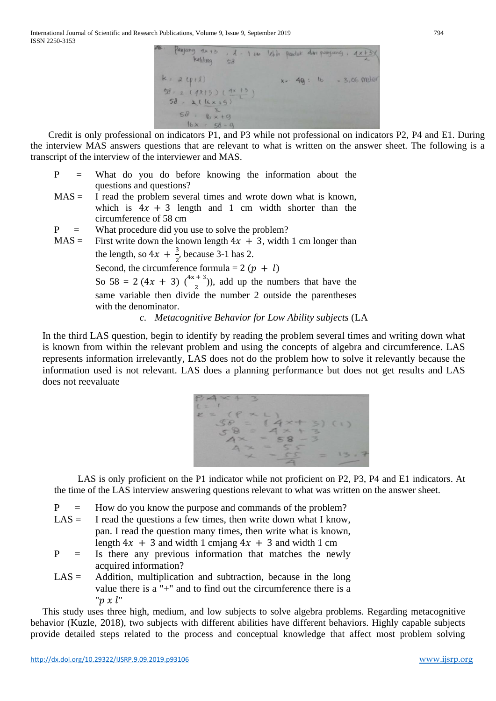

Credit is only professional on indicators P1, and P3 while not professional on indicators P2, P4 and E1. During the interview MAS answers questions that are relevant to what is written on the answer sheet. The following is a transcript of the interview of the interviewer and MAS.

- P = What do you do before knowing the information about the questions and questions?
- $MAS =$  I read the problem several times and wrote down what is known, which is  $4x + 3$  length and 1 cm width shorter than the circumference of 58 cm
- $P =$  What procedure did you use to solve the problem?
- $MAS =$  First write down the known length  $4x + 3$ , width 1 cm longer than the length, so  $4x + \frac{3}{2}$  $\frac{3}{2}$ , because 3-1 has 2. Second, the circumference formula = 2 ( $p + l$ ) So 58 = 2 (4x + 3)  $\left(\frac{4x+3}{2}\right)$  $\frac{+3}{2}$ )), add up the numbers that have the same variable then divide the number 2 outside the parentheses with the denominator.

# *c. Metacognitive Behavior for Low Ability subjects* (LA

In the third LAS question, begin to identify by reading the problem several times and writing down what is known from within the relevant problem and using the concepts of algebra and circumference. LAS represents information irrelevantly, LAS does not do the problem how to solve it relevantly because the information used is not relevant. LAS does a planning performance but does not get results and LAS does not reevaluate



LAS is only proficient on the P1 indicator while not proficient on P2, P3, P4 and E1 indicators. At the time of the LAS interview answering questions relevant to what was written on the answer sheet.

- P = How do you know the purpose and commands of the problem?
- $LAS =$  I read the questions a few times, then write down what I know, pan. I read the question many times, then write what is known, length  $4x + 3$  and width 1 cmjang  $4x + 3$  and width 1 cm
- P = Is there any previous information that matches the newly acquired information?
- $LAS =$  Addition, multiplication and subtraction, because in the long value there is a "+" and to find out the circumference there is a " $p x l$ "

This study uses three high, medium, and low subjects to solve algebra problems. Regarding metacognitive behavior (Kuzle, 2018), two subjects with different abilities have different behaviors. Highly capable subjects provide detailed steps related to the process and conceptual knowledge that affect most problem solving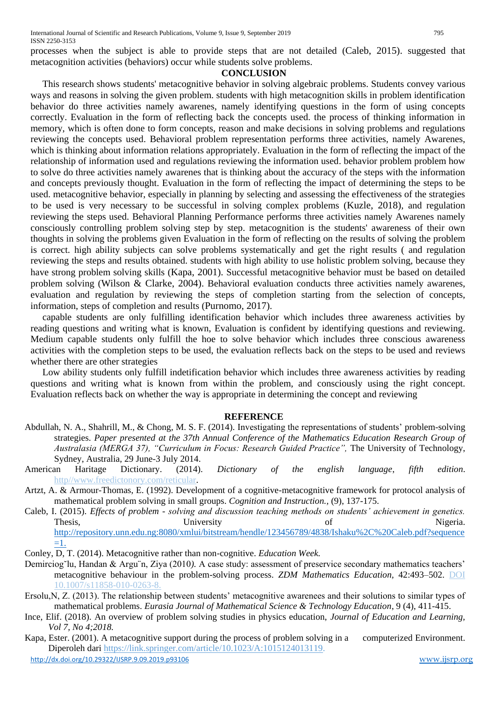processes when the subject is able to provide steps that are not detailed (Caleb, 2015). suggested that metacognition activities (behaviors) occur while students solve problems.

## **CONCLUSION**

This research shows students' metacognitive behavior in solving algebraic problems. Students convey various ways and reasons in solving the given problem. students with high metacognition skills in problem identification behavior do three activities namely awarenes, namely identifying questions in the form of using concepts correctly. Evaluation in the form of reflecting back the concepts used. the process of thinking information in memory, which is often done to form concepts, reason and make decisions in solving problems and regulations reviewing the concepts used. Behavioral problem representation performs three activities, namely Awarenes, which is thinking about information relations appropriately. Evaluation in the form of reflecting the impact of the relationship of information used and regulations reviewing the information used. behavior problem problem how to solve do three activities namely awarenes that is thinking about the accuracy of the steps with the information and concepts previously thought. Evaluation in the form of reflecting the impact of determining the steps to be used. metacognitive behavior, especially in planning by selecting and assessing the effectiveness of the strategies to be used is very necessary to be successful in solving complex problems (Kuzle, 2018), and regulation reviewing the steps used. Behavioral Planning Performance performs three activities namely Awarenes namely consciously controlling problem solving step by step. metacognition is the students' awareness of their own thoughts in solving the problems given Evaluation in the form of reflecting on the results of solving the problem is correct. high ability subjects can solve problems systematically and get the right results ( and regulation reviewing the steps and results obtained. students with high ability to use holistic problem solving, because they have strong problem solving skills (Kapa, 2001). Successful metacognitive behavior must be based on detailed problem solving (Wilson & Clarke, 2004). Behavioral evaluation conducts three activities namely awarenes, evaluation and regulation by reviewing the steps of completion starting from the selection of concepts, information, steps of completion and results (Purnomo, 2017).

capable students are only fulfilling identification behavior which includes three awareness activities by reading questions and writing what is known, Evaluation is confident by identifying questions and reviewing. Medium capable students only fulfill the hoe to solve behavior which includes three conscious awareness activities with the completion steps to be used, the evaluation reflects back on the steps to be used and reviews whether there are other strategies

Low ability students only fulfill indetification behavior which includes three awareness activities by reading questions and writing what is known from within the problem, and consciously using the right concept. Evaluation reflects back on whether the way is appropriate in determining the concept and reviewing

# **REFERENCE**

- Abdullah, N. A., Shahrill, M., & Chong, M. S. F. (2014). Investigating the representations of students' problem-solving strategies. *Paper presented at the 37th Annual Conference of the Mathematics Education Research Group of Australasia (MERGA 37), "Curriculum in Focus: Research Guided Practice",* The University of Technology, Sydney, Australia, 29 June-3 July 2014.
- American Haritage Dictionary. (2014). *Dictionary of the english language*, *fifth edition*. http//www.freedictonory.com/reticular.
- Artzt, A. & Armour-Thomas, E. (1992). Development of a cognitive-metacognitive framework for protocol analysis of mathematical problem solving in small groups. *Cognition and Instruction.,* (9), 137-175.
- Caleb, I. (2015). *Effects of problem - solving and discussion teaching methods on students' achievement in genetics.* Thesis, University University of Nigeria. [http://repository.unn.edu.ng:8080/xmlui/bitstream/hendle/123456789/4838/Ishaku%2C%20Caleb.pdf?sequence](http://repository.unn.edu.ng:8080/xmlui/bitstream/hendle/123456789/4838/Ishaku%2C%20Caleb.pdf?sequence=1) [=1.](http://repository.unn.edu.ng:8080/xmlui/bitstream/hendle/123456789/4838/Ishaku%2C%20Caleb.pdf?sequence=1)
- Conley, D, T. (2014). Metacognitive rather than non-cognitive. *Education Week.*
- Demirciog˘lu, Handan & Argu¨n, Ziya (2010*).* A case study: assessment of preservice secondary mathematics teachers' metacognitive behaviour in the problem-solving process. *ZDM Mathematics Education,* 42:493–502. DOI 10.1007/s11858-010-0263-8.
- Ersolu,N, Z. (2013). The relationship between students' metacognitive awarenees and their solutions to similar types of mathematical problems. *Eurasia Journal of Mathematical Science & Technology Education*, 9 (4), 411-415.
- Ince, Elif. (2018). An overview of problem solving studies in physics education, *Journal of Education and Learning, Vol 7, No 4;2018.*
- <http://dx.doi.org/10.29322/IJSRP.9.09.2019.p93106> [www.ijsrp.org](http://ijsrp.org/) Kapa, Ester. (2001). A metacognitive support during the process of problem solving in a computerized Environment. Diperoleh dari [https://link.springer.com/article/10.1023/A:1015124013119.](https://link.springer.com/article/10.1023/A:1015124013119)